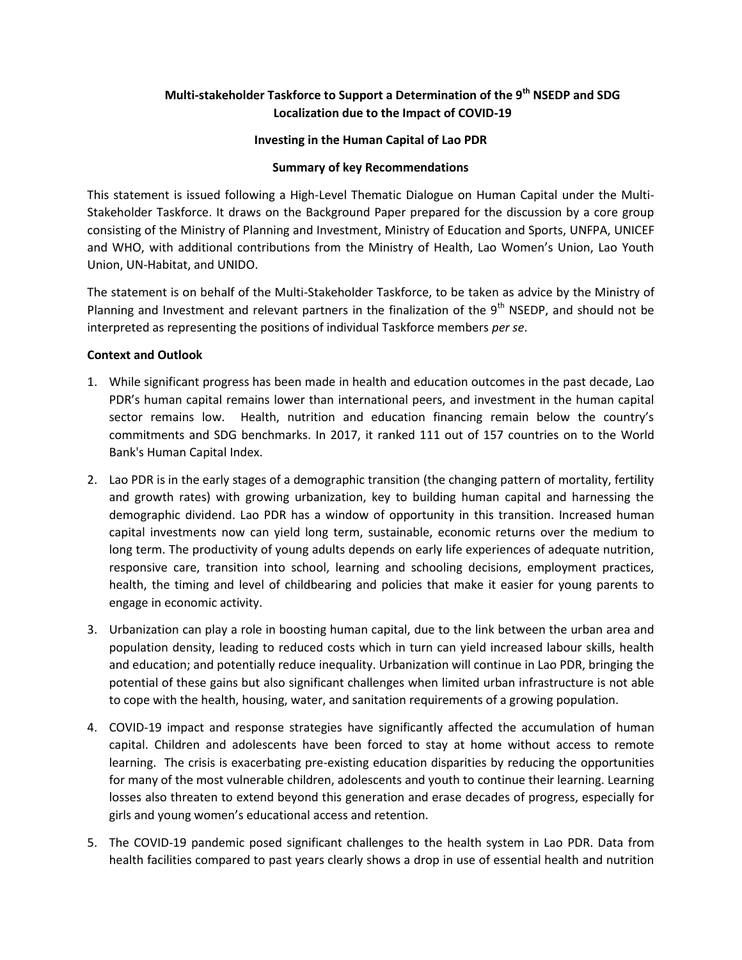# **Multi-stakeholder Taskforce to Support a Determination of the 9th NSEDP and SDG Localization due to the Impact of COVID-19**

### **Investing in the Human Capital of Lao PDR**

#### **Summary of key Recommendations**

This statement is issued following a High-Level Thematic Dialogue on Human Capital under the Multi-Stakeholder Taskforce. It draws on the Background Paper prepared for the discussion by a core group consisting of the Ministry of Planning and Investment, Ministry of Education and Sports, UNFPA, UNICEF and WHO, with additional contributions from the Ministry of Health, Lao Women's Union, Lao Youth Union, UN-Habitat, and UNIDO.

The statement is on behalf of the Multi-Stakeholder Taskforce, to be taken as advice by the Ministry of Planning and Investment and relevant partners in the finalization of the  $9<sup>th</sup>$  NSEDP, and should not be interpreted as representing the positions of individual Taskforce members *per se*.

#### **Context and Outlook**

- 1. While significant progress has been made in health and education outcomes in the past decade, Lao PDR's human capital remains lower than international peers, and investment in the human capital sector remains low. Health, nutrition and education financing remain below the country's commitments and SDG benchmarks. In 2017, it ranked 111 out of 157 countries on to the World Bank's Human Capital Index.
- 2. Lao PDR is in the early stages of a demographic transition (the changing pattern of mortality, fertility and growth rates) with growing urbanization, key to building human capital and harnessing the demographic dividend. Lao PDR has a window of opportunity in this transition. Increased human capital investments now can yield long term, sustainable, economic returns over the medium to long term. The productivity of young adults depends on early life experiences of adequate nutrition, responsive care, transition into school, learning and schooling decisions, employment practices, health, the timing and level of childbearing and policies that make it easier for young parents to engage in economic activity.
- 3. Urbanization can play a role in boosting human capital, due to the link between the urban area and population density, leading to reduced costs which in turn can yield increased labour skills, health and education; and potentially reduce inequality. Urbanization will continue in Lao PDR, bringing the potential of these gains but also significant challenges when limited urban infrastructure is not able to cope with the health, housing, water, and sanitation requirements of a growing population.
- 4. COVID-19 impact and response strategies have significantly affected the accumulation of human capital. Children and adolescents have been forced to stay at home without access to remote learning. The crisis is exacerbating pre-existing education disparities by reducing the opportunities for many of the most vulnerable children, adolescents and youth to continue their learning. Learning losses also threaten to extend beyond this generation and erase decades of progress, especially for girls and young women's educational access and retention.
- 5. The COVID-19 pandemic posed significant challenges to the health system in Lao PDR. Data from health facilities compared to past years clearly shows a drop in use of essential health and nutrition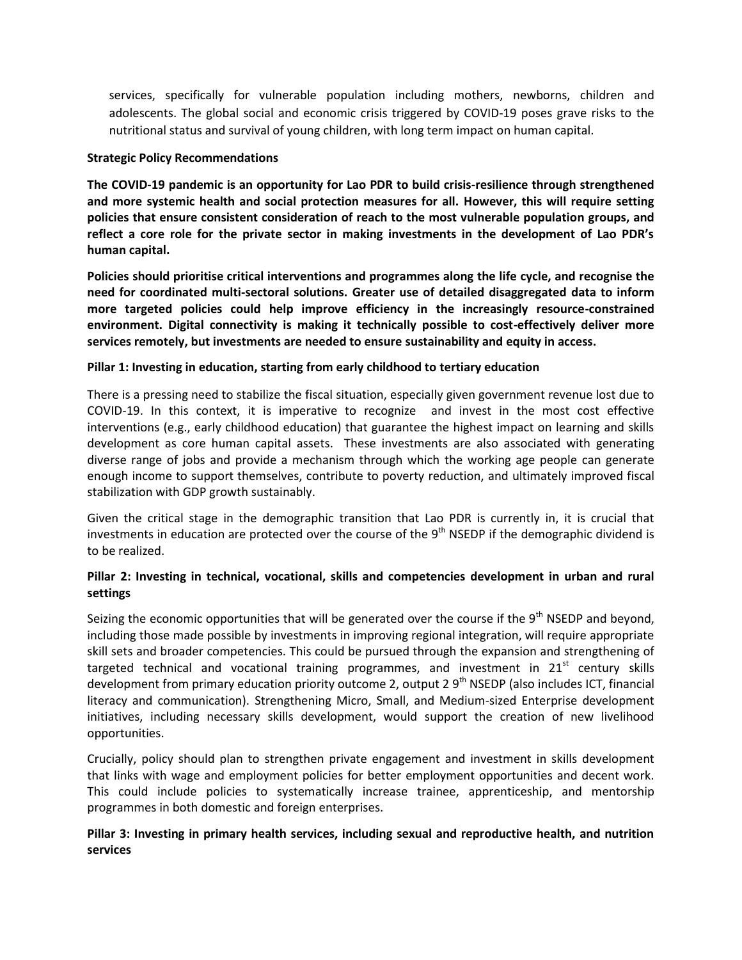services, specifically for vulnerable population including mothers, newborns, children and adolescents. The global social and economic crisis triggered by COVID-19 poses grave risks to the nutritional status and survival of young children, with long term impact on human capital.

### **Strategic Policy Recommendations**

**The COVID-19 pandemic is an opportunity for Lao PDR to build crisis-resilience through strengthened and more systemic health and social protection measures for all. However, this will require setting policies that ensure consistent consideration of reach to the most vulnerable population groups, and reflect a core role for the private sector in making investments in the development of Lao PDR's human capital.**

**Policies should prioritise critical interventions and programmes along the life cycle, and recognise the need for coordinated multi-sectoral solutions. Greater use of detailed disaggregated data to inform more targeted policies could help improve efficiency in the increasingly resource-constrained environment. Digital connectivity is making it technically possible to cost-effectively deliver more services remotely, but investments are needed to ensure sustainability and equity in access.**

# **Pillar 1: Investing in education, starting from early childhood to tertiary education**

There is a pressing need to stabilize the fiscal situation, especially given government revenue lost due to COVID-19. In this context, it is imperative to recognize and invest in the most cost effective interventions (e.g., early childhood education) that guarantee the highest impact on learning and skills development as core human capital assets. These investments are also associated with generating diverse range of jobs and provide a mechanism through which the working age people can generate enough income to support themselves, contribute to poverty reduction, and ultimately improved fiscal stabilization with GDP growth sustainably.

Given the critical stage in the demographic transition that Lao PDR is currently in, it is crucial that investments in education are protected over the course of the  $9<sup>th</sup>$  NSEDP if the demographic dividend is to be realized.

# **Pillar 2: Investing in technical, vocational, skills and competencies development in urban and rural settings**

Seizing the economic opportunities that will be generated over the course if the  $9<sup>th</sup>$  NSEDP and beyond, including those made possible by investments in improving regional integration, will require appropriate skill sets and broader competencies. This could be pursued through the expansion and strengthening of targeted technical and vocational training programmes, and investment in  $21<sup>st</sup>$  century skills development from primary education priority outcome 2, output 2  $9<sup>th</sup>$  NSEDP (also includes ICT, financial literacy and communication). Strengthening Micro, Small, and Medium-sized Enterprise development initiatives, including necessary skills development, would support the creation of new livelihood opportunities.

Crucially, policy should plan to strengthen private engagement and investment in skills development that links with wage and employment policies for better employment opportunities and decent work. This could include policies to systematically increase trainee, apprenticeship, and mentorship programmes in both domestic and foreign enterprises.

# **Pillar 3: Investing in primary health services, including sexual and reproductive health, and nutrition services**